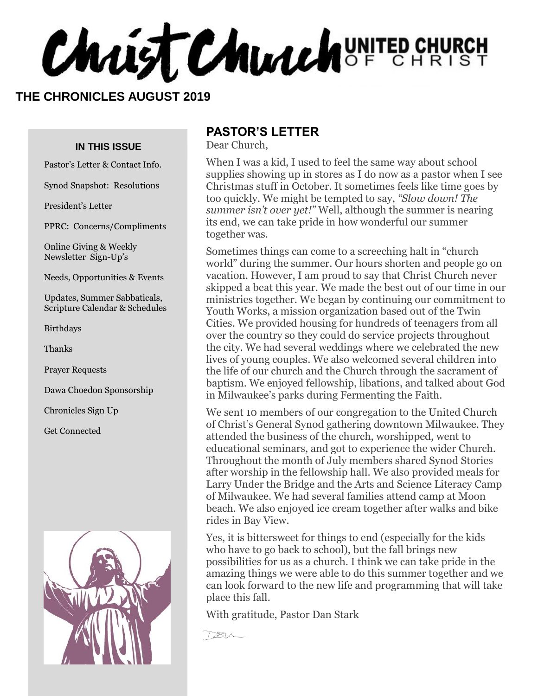**Chaist Church** UNITED CHURCH

#### **THE CHRONICLES AUGUST 2019**

#### **IN THIS ISSUE**

Pastor's Letter & Contact Info.

Synod Snapshot: Resolutions

President's Letter

PPRC: Concerns/Compliments

Online Giving & Weekly Newsletter Sign-Up's

Needs, Opportunities & Events

Updates, Summer Sabbaticals, Scripture Calendar & Schedules

Birthdays

Thanks

Prayer Requests

Dawa Choedon Sponsorship

Chronicles Sign Up

Get Connected



#### **PASTOR'S LETTER**

Dear Church,

When I was a kid, I used to feel the same way about school supplies showing up in stores as I do now as a pastor when I see Christmas stuff in October. It sometimes feels like time goes by too quickly. We might be tempted to say, *"Slow down! The summer isn't over yet!"* Well, although the summer is nearing its end, we can take pride in how wonderful our summer together was.

Sometimes things can come to a screeching halt in "church world" during the summer. Our hours shorten and people go on vacation. However, I am proud to say that Christ Church never skipped a beat this year. We made the best out of our time in our ministries together. We began by continuing our commitment to Youth Works, a mission organization based out of the Twin Cities. We provided housing for hundreds of teenagers from all over the country so they could do service projects throughout the city. We had several weddings where we celebrated the new lives of young couples. We also welcomed several children into the life of our church and the Church through the sacrament of baptism. We enjoyed fellowship, libations, and talked about God in Milwaukee's parks during Fermenting the Faith.

We sent 10 members of our congregation to the United Church of Christ's General Synod gathering downtown Milwaukee. They attended the business of the church, worshipped, went to educational seminars, and got to experience the wider Church. Throughout the month of July members shared Synod Stories after worship in the fellowship hall. We also provided meals for Larry Under the Bridge and the Arts and Science Literacy Camp of Milwaukee. We had several families attend camp at Moon beach. We also enjoyed ice cream together after walks and bike rides in Bay View.

Yes, it is bittersweet for things to end (especially for the kids who have to go back to school), but the fall brings new possibilities for us as a church. I think we can take pride in the amazing things we were able to do this summer together and we can look forward to the new life and programming that will take place this fall.

With gratitude, Pastor Dan Stark

 $782$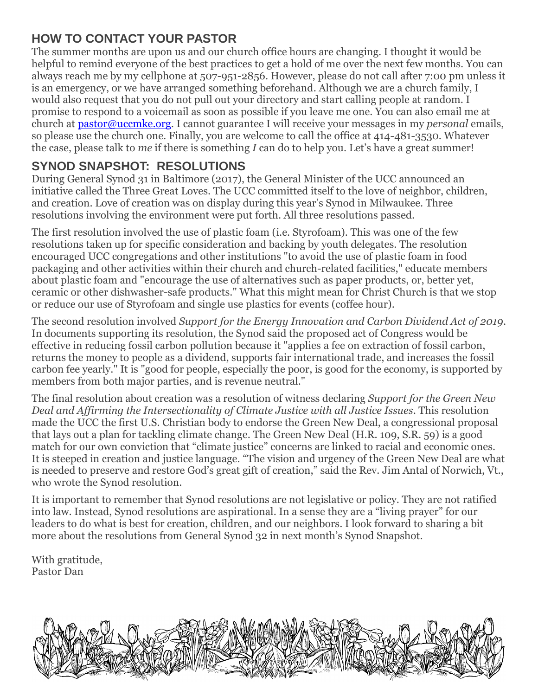### **HOW TO CONTACT YOUR PASTOR**

The summer months are upon us and our church office hours are changing. I thought it would be helpful to remind everyone of the best practices to get a hold of me over the next few months. You can always reach me by my cellphone at 507-951-2856. However, please do not call after 7:00 pm unless it is an emergency, or we have arranged something beforehand. Although we are a church family, I would also request that you do not pull out your directory and start calling people at random. I promise to respond to a voicemail as soon as possible if you leave me one. You can also email me at church at [pastor@uccmke.org.](mailto:pastor@uccmke.org) I cannot guarantee I will receive your messages in my *personal* emails, so please use the church one. Finally, you are welcome to call the office at 414-481-3530. Whatever the case, please talk to *me* if there is something *I* can do to help you. Let's have a great summer!

#### **SYNOD SNAPSHOT: RESOLUTIONS**

During General Synod 31 in Baltimore (2017), the General Minister of the UCC announced an initiative called the Three Great Loves. The UCC committed itself to the love of neighbor, children, and creation. Love of creation was on display during this year's Synod in Milwaukee. Three resolutions involving the environment were put forth. All three resolutions passed.

The first resolution involved the use of plastic foam (i.e. Styrofoam). This was one of the few resolutions taken up for specific consideration and backing by youth delegates. The resolution encouraged UCC congregations and other institutions "to avoid the use of plastic foam in food packaging and other activities within their church and church-related facilities," educate members about plastic foam and "encourage the use of alternatives such as paper products, or, better yet, ceramic or other dishwasher-safe products." What this might mean for Christ Church is that we stop or reduce our use of Styrofoam and single use plastics for events (coffee hour).

The second resolution involved *Support for the Energy Innovation and Carbon Dividend Act of 2019*. In documents supporting its resolution, the Synod said the proposed act of Congress would be effective in reducing fossil carbon pollution because it "applies a fee on extraction of fossil carbon, returns the money to people as a dividend, supports fair international trade, and increases the fossil carbon fee yearly." It is "good for people, especially the poor, is good for the economy, is supported by members from both major parties, and is revenue neutral."

The final resolution about creation was a resolution of witness declaring *Support for the Green New Deal and Affirming the Intersectionality of Climate Justice with all Justice Issues*. This resolution made the UCC the first U.S. Christian body to endorse the Green New Deal, a congressional proposal that lays out a plan for tackling climate change. The Green New Deal (H.R. 109, S.R. 59) is a good match for our own conviction that "climate justice" concerns are linked to racial and economic ones. It is steeped in creation and justice language. "The vision and urgency of the Green New Deal are what is needed to preserve and restore God's great gift of creation," said the Rev. Jim Antal of Norwich, Vt., who wrote the Synod resolution.

It is important to remember that Synod resolutions are not legislative or policy. They are not ratified into law. Instead, Synod resolutions are aspirational. In a sense they are a "living prayer" for our leaders to do what is best for creation, children, and our neighbors. I look forward to sharing a bit more about the resolutions from General Synod 32 in next month's Synod Snapshot.

With gratitude, Pastor Dan

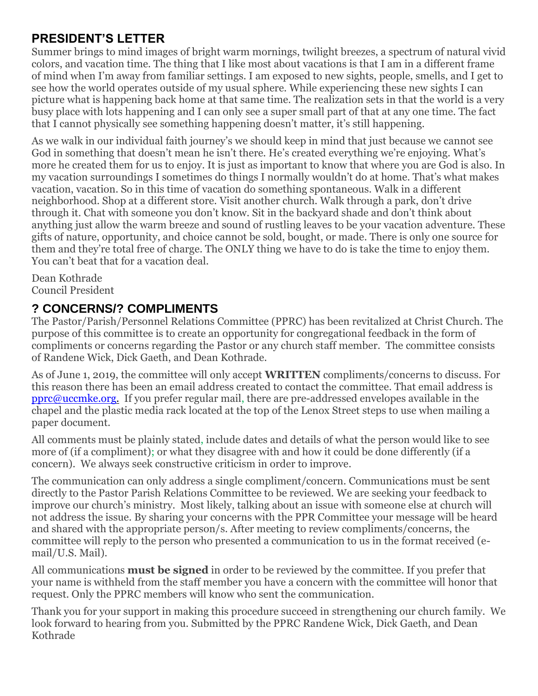#### **PRESIDENT'S LETTER**

Summer brings to mind images of bright warm mornings, twilight breezes, a spectrum of natural vivid colors, and vacation time. The thing that I like most about vacations is that I am in a different frame of mind when I'm away from familiar settings. I am exposed to new sights, people, smells, and I get to see how the world operates outside of my usual sphere. While experiencing these new sights I can picture what is happening back home at that same time. The realization sets in that the world is a very busy place with lots happening and I can only see a super small part of that at any one time. The fact that I cannot physically see something happening doesn't matter, it's still happening.

As we walk in our individual faith journey's we should keep in mind that just because we cannot see God in something that doesn't mean he isn't there. He's created everything we're enjoying. What's more he created them for us to enjoy. It is just as important to know that where you are God is also. In my vacation surroundings I sometimes do things I normally wouldn't do at home. That's what makes vacation, vacation. So in this time of vacation do something spontaneous. Walk in a different neighborhood. Shop at a different store. Visit another church. Walk through a park, don't drive through it. Chat with someone you don't know. Sit in the backyard shade and don't think about anything just allow the warm breeze and sound of rustling leaves to be your vacation adventure. These gifts of nature, opportunity, and choice cannot be sold, bought, or made. There is only one source for them and they're total free of charge. The ONLY thing we have to do is take the time to enjoy them. You can't beat that for a vacation deal.

Dean Kothrade Council President

#### **? CONCERNS/? COMPLIMENTS**

The Pastor/Parish/Personnel Relations Committee (PPRC) has been revitalized at Christ Church. The purpose of this committee is to create an opportunity for congregational feedback in the form of compliments or concerns regarding the Pastor or any church staff member. The committee consists of Randene Wick, Dick Gaeth, and Dean Kothrade.

As of June 1, 2019, the committee will only accept **WRITTEN** compliments/concerns to discuss. For this reason there has been an email address created to contact the committee. That email address is [pprc@uccmke.org.](mailto:pprc@uccmke.org) If you prefer regular mail, there are pre-addressed envelopes available in the chapel and the plastic media rack located at the top of the Lenox Street steps to use when mailing a paper document.

All comments must be plainly stated, include dates and details of what the person would like to see more of (if a compliment); or what they disagree with and how it could be done differently (if a concern). We always seek constructive criticism in order to improve.

The communication can only address a single compliment/concern. Communications must be sent directly to the Pastor Parish Relations Committee to be reviewed. We are seeking your feedback to improve our church's ministry. Most likely, talking about an issue with someone else at church will not address the issue. By sharing your concerns with the PPR Committee your message will be heard and shared with the appropriate person/s. After meeting to review compliments/concerns, the committee will reply to the person who presented a communication to us in the format received (email/U.S. Mail).

All communications **must be signed** in order to be reviewed by the committee. If you prefer that your name is withheld from the staff member you have a concern with the committee will honor that request. Only the PPRC members will know who sent the communication.

Thank you for your support in making this procedure succeed in strengthening our church family. We look forward to hearing from you. Submitted by the PPRC Randene Wick, Dick Gaeth, and Dean Kothrade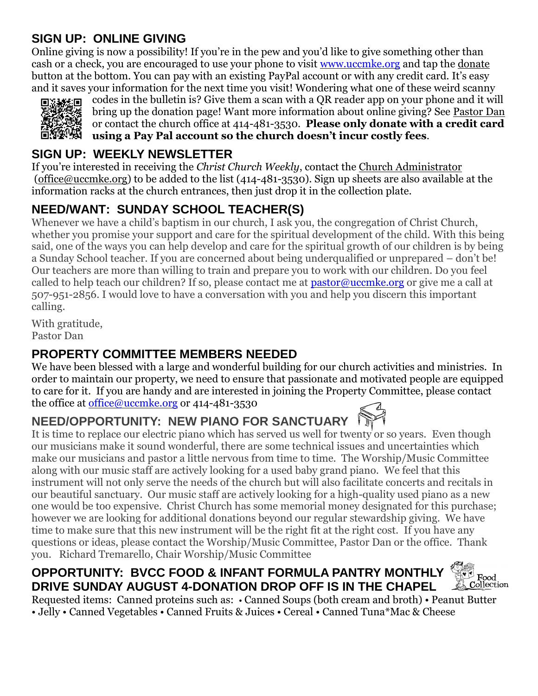## **SIGN UP: ONLINE GIVING**

Online giving is now a possibility! If you're in the pew and you'd like to give something other than cash or a check, you are encouraged to use your phone to visit [www.uccmke.org](http://www.uccmke.org/) and tap the [donate](https://www.paypal.com/cgi-bin/webscr?cmd=_s-xclick&hosted_button_id=D7W2VTZZBHZNU) button at the bottom. You can pay with an existing PayPal account or with any credit card. It's easy and it saves your information for the next time you visit! Wondering what one of these weird scanny



codes in the bulletin is? Give them a scan with a QR reader app on your phone and it will bring up the donation page! Want more information about online giving? See [Pastor Dan](mailto:dan_stark@att.net) or contact the church office at 414-481-3530. **Please only donate with a credit card using a Pay Pal account so the church doesn't incur costly fees**.

#### **SIGN UP: WEEKLY NEWSLETTER**

If you're interested in receiving the *Christ Church Weekly*, contact the [Church Administrator](mailto:christ-church@att.net) (office@uccmke.org) to be added to the list (414-481-3530). Sign up sheets are also available at the information racks at the church entrances, then just drop it in the collection plate.

## **NEED/WANT: SUNDAY SCHOOL TEACHER(S)**

Whenever we have a child's baptism in our church, I ask you, the congregation of Christ Church, whether you promise your support and care for the spiritual development of the child. With this being said, one of the ways you can help develop and care for the spiritual growth of our children is by being a Sunday School teacher. If you are concerned about being underqualified or unprepared – don't be! Our teachers are more than willing to train and prepare you to work with our children. Do you feel called to help teach our children? If so, please contact me at  $\text{pastor@uccmke.org}$  or give me a call at 507-951-2856. I would love to have a conversation with you and help you discern this important calling.

With gratitude, Pastor Dan

## **PROPERTY COMMITTEE MEMBERS NEEDED**

We have been blessed with a large and wonderful building for our church activities and ministries. In order to maintain our property, we need to ensure that passionate and motivated people are equipped to care for it. If you are handy and are interested in joining the Property Committee, please contact the office at <u>office@uccmke.org</u> or 414-481-3530

## **NEED/OPPORTUNITY: NEW PIANO FOR SANCTUARY**

It is time to replace our electric piano which has served us well for twenty or so years. Even though our musicians make it sound wonderful, there are some technical issues and uncertainties which make our musicians and pastor a little nervous from time to time. The Worship/Music Committee along with our music staff are actively looking for a used baby grand piano. We feel that this instrument will not only serve the needs of the church but will also facilitate concerts and recitals in our beautiful sanctuary. Our music staff are actively looking for a high-quality used piano as a new one would be too expensive. Christ Church has some memorial money designated for this purchase; however we are looking for additional donations beyond our regular stewardship giving. We have time to make sure that this new instrument will be the right fit at the right cost. If you have any questions or ideas, please contact the Worship/Music Committee, Pastor Dan or the office. Thank you. Richard Tremarello, Chair Worship/Music Committee

#### **Exis**<br>Collecti **OPPORTUNITY: BVCC FOOD & INFANT FORMULA PANTRY MONTHLY DRIVE SUNDAY AUGUST 4-DONATION DROP OFF IS IN THE CHAPEL**

Requested items: Canned proteins such as: • Canned Soups (both cream and broth) • Peanut Butter • Jelly • Canned Vegetables • Canned Fruits & Juices • Cereal • Canned Tuna\*Mac & Cheese

Collection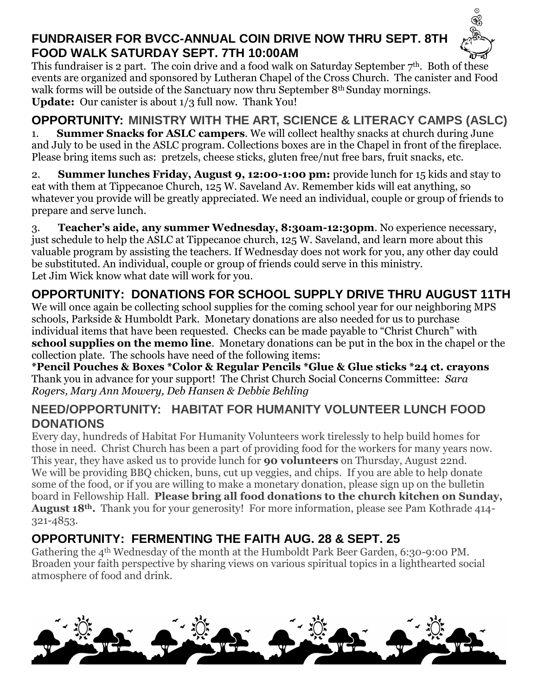## **FUNDRAISER FOR BVCC-ANNUAL COIN DRIVE NOW THRU SEPT. 8TH FOOD WALK SATURDAY SEPT. 7TH 10:00AM**



This fundraiser is 2 part. The coin drive and a food walk on Saturday September  $7<sup>th</sup>$ . Both of these events are organized and sponsored by Lutheran Chapel of the Cross Church. The canister and Food walk forms will be outside of the Sanctuary now thru September 8<sup>th</sup> Sunday mornings. **Update:** Our canister is about 1/3 full now. Thank You!

# **OPPORTUNITY: MINISTRY WITH THE ART, SCIENCE & LITERACY CAMPS (ASLC)**

1. **Summer Snacks for ASLC campers**. We will collect healthy snacks at church during June and July to be used in the ASLC program. Collections boxes are in the Chapel in front of the fireplace. Please bring items such as: pretzels, cheese sticks, gluten free/nut free bars, fruit snacks, etc.

2. **Summer lunches Friday, August 9, 12:00-1:00 pm:** provide lunch for 15 kids and stay to eat with them at Tippecanoe Church, 125 W. Saveland Av. Remember kids will eat anything, so whatever you provide will be greatly appreciated. We need an individual, couple or group of friends to prepare and serve lunch.

3. **Teacher's aide, any summer Wednesday, 8:30am-12:30pm**. No experience necessary, just schedule to help the ASLC at Tippecanoe church, 125 W. Saveland, and learn more about this valuable program by assisting the teachers. If Wednesday does not work for you, any other day could be substituted. An individual, couple or group of friends could serve in this ministry. Let Jim Wick know what date will work for you.

# **OPPORTUNITY: DONATIONS FOR SCHOOL SUPPLY DRIVE THRU AUGUST 11TH**

We will once again be collecting school supplies for the coming school year for our neighboring MPS schools, Parkside & Humboldt Park. Monetary donations are also needed for us to purchase individual items that have been requested. Checks can be made payable to "Christ Church" with **school supplies on the memo line**. Monetary donations can be put in the box in the chapel or the collection plate. The schools have need of the following items:

**\*Pencil Pouches & Boxes \*Color & Regular Pencils \*Glue & Glue sticks \*24 ct. crayons** Thank you in advance for your support! The Christ Church Social Concerns Committee: *Sara Rogers, Mary Ann Mowery, Deb Hansen & Debbie Behling*

#### **NEED/OPPORTUNITY: HABITAT FOR HUMANITY VOLUNTEER LUNCH FOOD DONATIONS**

Every day, hundreds of Habitat For Humanity Volunteers work tirelessly to help build homes for those in need. Christ Church has been a part of providing food for the workers for many years now. This year, they have asked us to provide lunch for **90 volunteers** on Thursday, August 22nd. We will be providing BBQ chicken, buns, cut up veggies, and chips. If you are able to help donate some of the food, or if you are willing to make a monetary donation, please sign up on the bulletin board in Fellowship Hall. **Please bring all food donations to the church kitchen on Sunday, August 18th.** Thank you for your generosity! For more information, please see Pam Kothrade 414- 321-4853.

# **OPPORTUNITY: FERMENTING THE FAITH AUG. 28 & SEPT. 25**

Gathering the 4th Wednesday of the month at the Humboldt Park Beer Garden, 6:30-9:00 PM. Broaden your faith perspective by sharing views on various spiritual topics in a lighthearted social atmosphere of food and drink.

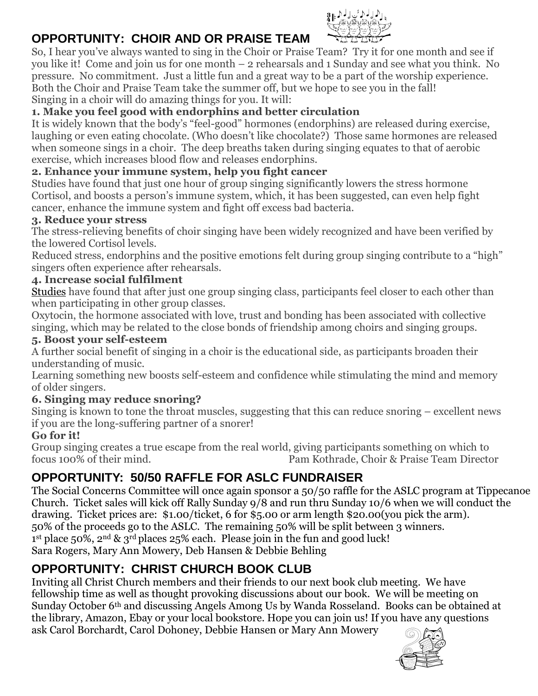# **OPPORTUNITY: CHOIR AND OR PRAISE TEAM**



So, I hear you've always wanted to sing in the Choir or Praise Team? Try it for one month and see if you like it! Come and join us for one month – 2 rehearsals and 1 Sunday and see what you think. No pressure. No commitment. Just a little fun and a great way to be a part of the worship experience. Both the Choir and Praise Team take the summer off, but we hope to see you in the fall! Singing in a choir will do amazing things for you. It will:

#### **1. Make you feel good with endorphins and better circulation**

It is widely known that the body's "feel-good" hormones (endorphins) are released during exercise, laughing or even eating chocolate. (Who doesn't like chocolate?) Those same hormones are released when someone sings in a choir. The deep breaths taken during singing equates to that of aerobic exercise, which increases blood flow and releases endorphins.

#### **2. Enhance your immune system, help you fight cancer**

Studies have found that just one hour of group singing significantly lowers the stress hormone Cortisol, and boosts a person's immune system, which, it has been suggested, can even help fight cancer, enhance the immune system and fight off excess bad bacteria.

#### **3. Reduce your stress**

The stress-relieving benefits of choir singing have been widely recognized and have been verified by the lowered Cortisol levels.

Reduced stress, endorphins and the positive emotions felt during group singing contribute to a "high" singers often experience after rehearsals.

#### **4. Increase social fulfilment**

[Studies](http://rsos.royalsocietypublishing.org/content/2/10/150221) have found that after just one group singing class, participants feel closer to each other than when participating in other group classes.

Oxytocin, the hormone associated with love, trust and bonding has been associated with collective singing, which may be related to the close bonds of friendship among choirs and singing groups.

#### **5. Boost your self-esteem**

A further social benefit of singing in a choir is the educational side, as participants broaden their understanding of music.

Learning something new boosts self-esteem and confidence while stimulating the mind and memory of older singers.

#### **6. Singing may reduce snoring?**

Singing is known to tone the throat muscles, suggesting that this can reduce snoring – excellent news if you are the long-suffering partner of a snorer!

#### **Go for it!**

Group singing creates a true escape from the real world, giving participants something on which to focus 100% of their mind. Pam Kothrade, Choir & Praise Team Director

## **OPPORTUNITY: 50/50 RAFFLE FOR ASLC FUNDRAISER**

The Social Concerns Committee will once again sponsor a 50/50 raffle for the ASLC program at Tippecanoe Church. Ticket sales will kick off Rally Sunday 9/8 and run thru Sunday 10/6 when we will conduct the drawing. Ticket prices are: \$1.00/ticket, 6 for \$5.00 or arm length \$20.00(you pick the arm). 50% of the proceeds go to the ASLC. The remaining 50% will be split between 3 winners. 1 st place 50%, 2nd & 3rd places 25% each. Please join in the fun and good luck! Sara Rogers, Mary Ann Mowery, Deb Hansen & Debbie Behling

## **OPPORTUNITY: CHRIST CHURCH BOOK CLUB**

Inviting all Christ Church members and their friends to our next book club meeting. We have fellowship time as well as thought provoking discussions about our book. We will be meeting on Sunday October 6th and discussing Angels Among Us by Wanda Rosseland. Books can be obtained at the library, Amazon, Ebay or your local bookstore. Hope you can join us! If you have any questions ask Carol Borchardt, Carol Dohoney, Debbie Hansen or Mary Ann Mowery

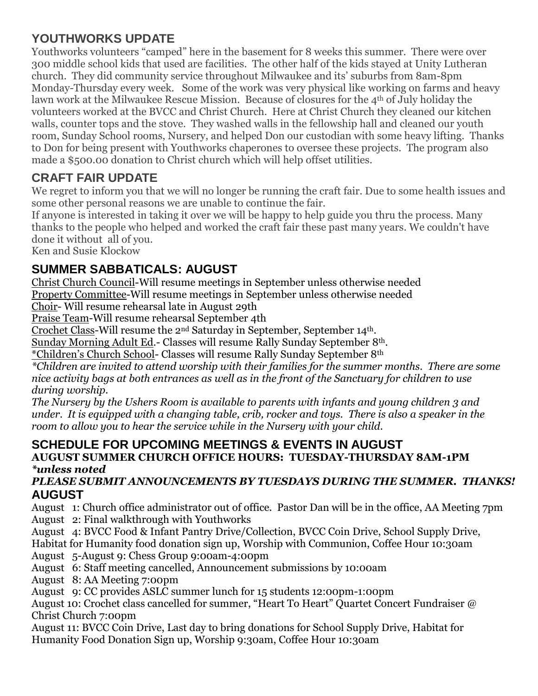#### **YOUTHWORKS UPDATE**

Youthworks volunteers "camped" here in the basement for 8 weeks this summer. There were over 300 middle school kids that used are facilities. The other half of the kids stayed at Unity Lutheran church. They did community service throughout Milwaukee and its' suburbs from 8am-8pm Monday-Thursday every week. Some of the work was very physical like working on farms and heavy lawn work at the Milwaukee Rescue Mission. Because of closures for the 4<sup>th</sup> of July holiday the volunteers worked at the BVCC and Christ Church. Here at Christ Church they cleaned our kitchen walls, counter tops and the stove. They washed walls in the fellowship hall and cleaned our youth room, Sunday School rooms, Nursery, and helped Don our custodian with some heavy lifting. Thanks to Don for being present with Youthworks chaperones to oversee these projects. The program also made a \$500.00 donation to Christ church which will help offset utilities.

## **CRAFT FAIR UPDATE**

We regret to inform you that we will no longer be running the craft fair. Due to some health issues and some other personal reasons we are unable to continue the fair.

If anyone is interested in taking it over we will be happy to help guide you thru the process. Many thanks to the people who helped and worked the craft fair these past many years. We couldn't have done it without all of you.

Ken and Susie Klockow

## **SUMMER SABBATICALS: AUGUST**

Christ Church Council-Will resume meetings in September unless otherwise needed Property Committee-Will resume meetings in September unless otherwise needed

Choir- Will resume rehearsal late in August 29th

Praise Team-Will resume rehearsal September 4th

Crochet Class-Will resume the 2nd Saturday in September, September 14th.

Sunday Morning Adult Ed.- Classes will resume Rally Sunday September 8th.

\*Children's Church School- Classes will resume Rally Sunday September 8th

*\*Children are invited to attend worship with their families for the summer months. There are some nice activity bags at both entrances as well as in the front of the Sanctuary for children to use during worship.*

*The Nursery by the Ushers Room is available to parents with infants and young children 3 and under. It is equipped with a changing table, crib, rocker and toys. There is also a speaker in the room to allow you to hear the service while in the Nursery with your child.*

#### **SCHEDULE FOR UPCOMING MEETINGS & EVENTS IN AUGUST AUGUST SUMMER CHURCH OFFICE HOURS: TUESDAY-THURSDAY 8AM-1PM** *\*unless noted*

#### *PLEASE SUBMIT ANNOUNCEMENTS BY TUESDAYS DURING THE SUMMER. THANKS!* **AUGUST**

August 1: Church office administrator out of office. Pastor Dan will be in the office, AA Meeting 7pm August 2: Final walkthrough with Youthworks

August 4: BVCC Food & Infant Pantry Drive/Collection, BVCC Coin Drive, School Supply Drive,

Habitat for Humanity food donation sign up, Worship with Communion, Coffee Hour 10:30am

August 5-August 9: Chess Group 9:00am-4:00pm

August 6: Staff meeting cancelled, Announcement submissions by 10:00am

August 8: AA Meeting 7:00pm

August 9: CC provides ASLC summer lunch for 15 students 12:00pm-1:00pm

August 10: Crochet class cancelled for summer, "Heart To Heart" Quartet Concert Fundraiser @ Christ Church 7:00pm

August 11: BVCC Coin Drive, Last day to bring donations for School Supply Drive, Habitat for Humanity Food Donation Sign up, Worship 9:30am, Coffee Hour 10:30am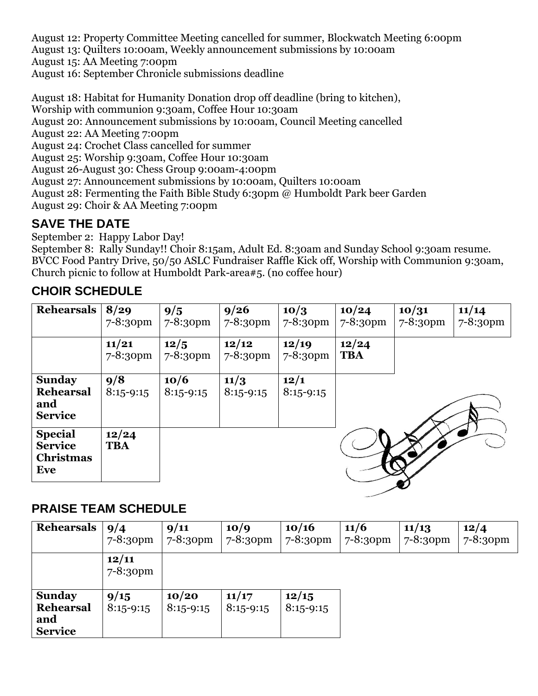August 12: Property Committee Meeting cancelled for summer, Blockwatch Meeting 6:00pm August 13: Quilters 10:00am, Weekly announcement submissions by 10:00am August 15: AA Meeting 7:00pm

August 16: September Chronicle submissions deadline

August 18: Habitat for Humanity Donation drop off deadline (bring to kitchen),

Worship with communion 9:30am, Coffee Hour 10:30am

August 20: Announcement submissions by 10:00am, Council Meeting cancelled

August 22: AA Meeting 7:00pm

August 24: Crochet Class cancelled for summer

August 25: Worship 9:30am, Coffee Hour 10:30am

August 26-August 30: Chess Group 9:00am-4:00pm

August 27: Announcement submissions by 10:00am, Quilters 10:00am

August 28: Fermenting the Faith Bible Study 6:30pm @ Humboldt Park beer Garden

August 29: Choir & AA Meeting 7:00pm

## **SAVE THE DATE**

September 2: Happy Labor Day!

September 8: Rally Sunday!! Choir 8:15am, Adult Ed. 8:30am and Sunday School 9:30am resume. BVCC Food Pantry Drive, 50/50 ASLC Fundraiser Raffle Kick off, Worship with Communion 9:30am, Church picnic to follow at Humboldt Park-area#5. (no coffee hour)

# **CHOIR SCHEDULE**

| Rehearsals                                                  | 8/29<br>$7 - 8:30$ pm  | 9/5<br>7-8:30pm     | 9/26<br>$7 - 8:30$ pm | 10/3<br>$7 - 8:30$ pm | 10/24<br>$7 - 8:30$ pm | 10/31<br>$7 - 8:30$ pm | 11/14<br>7-8:30pm |
|-------------------------------------------------------------|------------------------|---------------------|-----------------------|-----------------------|------------------------|------------------------|-------------------|
|                                                             | 11/21<br>$7 - 8:30$ pm | 12/5<br>7-8:30pm    | 12/12<br>7-8:30pm     | 12/19<br>7-8:30pm     | 12/24<br><b>TBA</b>    |                        |                   |
| <b>Sunday</b><br><b>Rehearsal</b><br>and<br><b>Service</b>  | 9/8<br>$8:15-9:15$     | 10/6<br>$8:15-9:15$ | 11/3<br>$8:15-9:15$   | 12/1<br>$8:15-9:15$   |                        |                        |                   |
| <b>Special</b><br><b>Service</b><br><b>Christmas</b><br>Eve | 12/24<br><b>TBA</b>    |                     |                       |                       |                        |                        |                   |

#### **PRAISE TEAM SCHEDULE**

| <b>Rehearsals</b>                                          | 9/4<br>$7 - 8:30$ pm | 9/11<br>$7 - 8:30$ pm | 10/9<br>$7 - 8:30$ pm | 10/16<br>$7 - 8:30$ pm | 11/6<br>$7 - 8:30$ pm | 11/13<br>$7 - 8:30$ pm | 12/4<br>$7 - 8:30$ pm |
|------------------------------------------------------------|----------------------|-----------------------|-----------------------|------------------------|-----------------------|------------------------|-----------------------|
|                                                            | 12/11<br>7-8:30pm    |                       |                       |                        |                       |                        |                       |
| <b>Sunday</b><br><b>Rehearsal</b><br>and<br><b>Service</b> | 9/15<br>$8:15-9:15$  | 10/20<br>$8:15-9:15$  | 11/17<br>$8:15-9:15$  | 12/15<br>$8:15 - 9:15$ |                       |                        |                       |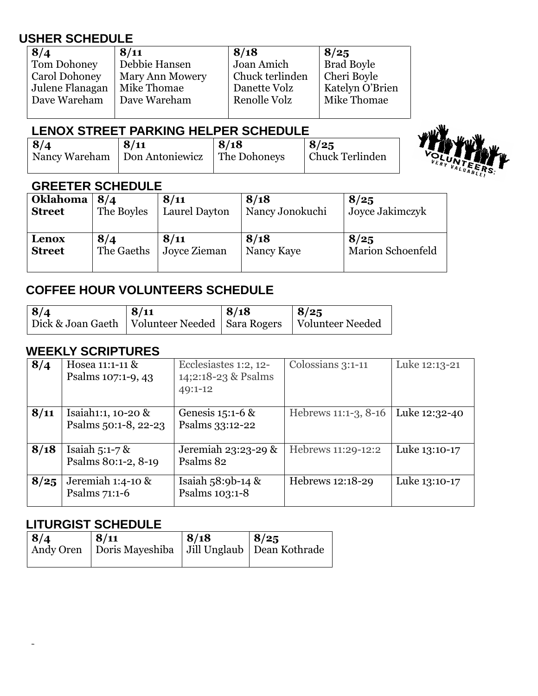#### **USHER SCHEDULE**

| 8/4                  | 8/11                   | 8/18            | 8/25              |
|----------------------|------------------------|-----------------|-------------------|
| Tom Dohoney          | Debbie Hansen          | Joan Amich      | <b>Brad Boyle</b> |
| <b>Carol Dohoney</b> | <b>Mary Ann Mowery</b> | Chuck terlinden | Cheri Boyle       |
| Julene Flanagan      | Mike Thomae            | Danette Volz    | Katelyn O'Brien   |
| Dave Wareham         | Dave Wareham           | Renolle Volz    | Mike Thomae       |
|                      |                        |                 |                   |

#### **LENOX STREET PARKING HELPER SCHEDULE**

| 8/4 | 8/11                            | 8/18         | 8/25            |
|-----|---------------------------------|--------------|-----------------|
|     | Nancy Wareham   Don Antoniewicz | The Dohoneys | Chuck Terlinden |

#### **GREETER SCHEDULE**

| <b>Oklahoma</b> | 8/4        | 8/11          | 8/18            | 8/25                     |
|-----------------|------------|---------------|-----------------|--------------------------|
| <b>Street</b>   | The Boyles | Laurel Dayton | Nancy Jonokuchi | Joyce Jakimczyk          |
| Lenox           | 8/4        | 8/11          | 8/18            | 8/25                     |
| <b>Street</b>   | The Gaeths | Joyce Zieman  | Nancy Kaye      | <b>Marion Schoenfeld</b> |

#### **COFFEE HOUR VOLUNTEERS SCHEDULE**

| 8/4                                                                   | 8/11 | 8/18 | 8/25 |
|-----------------------------------------------------------------------|------|------|------|
| Dick & Joan Gaeth   Volunteer Needed   Sara Rogers   Volunteer Needed |      |      |      |

#### **WEEKLY SCRIPTURES**

| 8/4  | Hosea 11:1-11 &<br>Psalms 107:1-9, 43      | Ecclesiastes 1:2, 12-<br>14;2:18-23 & Psalms<br>49:1-12 | Colossians 3:1-11    | Luke 12:13-21 |
|------|--------------------------------------------|---------------------------------------------------------|----------------------|---------------|
| 8/11 | Isaiah1:1, 10-20 &<br>Psalms 50:1-8, 22-23 | Genesis 15:1-6 &<br>Psalms 33:12-22                     | Hebrews 11:1-3, 8-16 | Luke 12:32-40 |
| 8/18 | Isaiah $5:1-7$ &<br>Psalms 80:1-2, 8-19    | Jeremiah 23:23-29 &<br>Psalms 82                        | Hebrews 11:29-12:2   | Luke 13:10-17 |
| 8/25 | Jeremiah $1:4$ -10 &<br>Psalms 71:1-6      | Isaiah $58:9b-14$ &<br>Psalms 103:1-8                   | Hebrews 12:18-29     | Luke 13:10-17 |

#### **LITURGIST SCHEDULE**

| 8/4 | 8/11                                                       | 8/18 | 8/25 |
|-----|------------------------------------------------------------|------|------|
|     | Andy Oren   Doris Mayeshiba   Jill Unglaub   Dean Kothrade |      |      |
|     |                                                            |      |      |

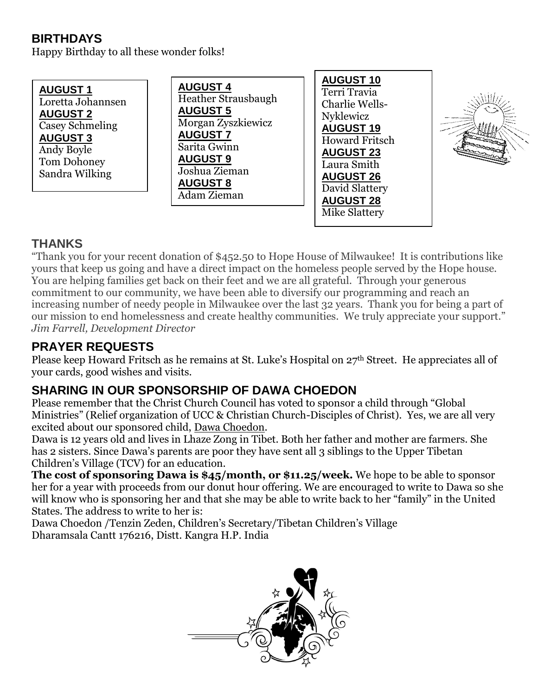## **BIRTHDAYS**

Happy Birthday to all these wonder folks!

**AUGUST 1** Loretta Johannsen **AUGUST 2** Casey Schmeling **AUGUST 3** Andy Boyle Tom Dohoney Sandra Wilking

**AUGUST 4** Heather Strausbaugh **AUGUST 5** Morgan Zyszkiewicz **AUGUST 7** Sarita Gwinn **AUGUST 9** Joshua Zieman **AUGUST 8** Adam Zieman

**AUGUST 10** Terri Travia Charlie Wells-Nyklewicz **AUGUST 19** Howard Fritsch **AUGUST 23** Laura Smith **AUGUST 26** David Slattery **AUGUST 28** Mike Slattery



## **THANKS**

"Thank you for your recent donation of \$452.50 to Hope House of Milwaukee! It is contributions like yours that keep us going and have a direct impact on the homeless people served by the Hope house. You are helping families get back on their feet and we are all grateful. Through your generous commitment to our community, we have been able to diversify our programming and reach an increasing number of needy people in Milwaukee over the last 32 years. Thank you for being a part of our mission to end homelessness and create healthy communities. We truly appreciate your support." *Jim Farrell, Development Director*

## **PRAYER REQUESTS**

Please keep Howard Fritsch as he remains at St. Luke's Hospital on 27th Street. He appreciates all of your cards, good wishes and visits.

## **SHARING IN OUR SPONSORSHIP OF DAWA CHOEDON**

Please remember that the Christ Church Council has voted to sponsor a child through "Global Ministries" (Relief organization of UCC & Christian Church-Disciples of Christ). Yes, we are all very excited about our sponsored child, Dawa Choedon.

Dawa is 12 years old and lives in Lhaze Zong in Tibet. Both her father and mother are farmers. She has 2 sisters. Since Dawa's parents are poor they have sent all 3 siblings to the Upper Tibetan Children's Village (TCV) for an education.

**The cost of sponsoring Dawa is \$45/month, or \$11.25/week.** We hope to be able to sponsor her for a year with proceeds from our donut hour offering. We are encouraged to write to Dawa so she will know who is sponsoring her and that she may be able to write back to her "family" in the United States. The address to write to her is:

Dawa Choedon /Tenzin Zeden, Children's Secretary/Tibetan Children's Village Dharamsala Cantt 176216, Distt. Kangra H.P. India

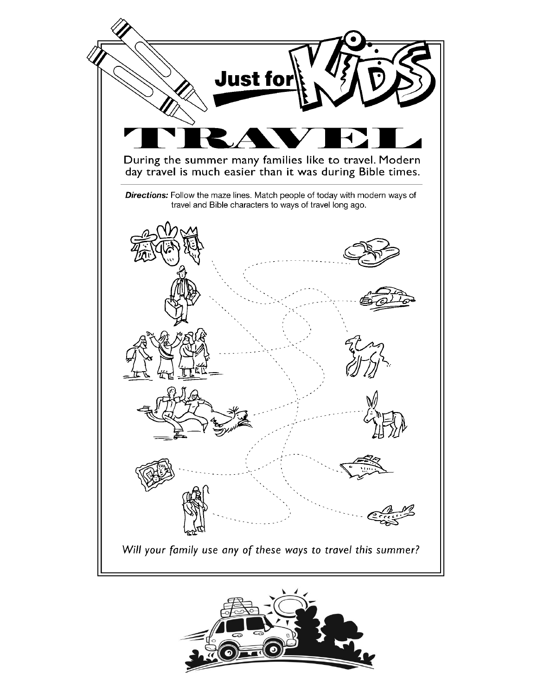